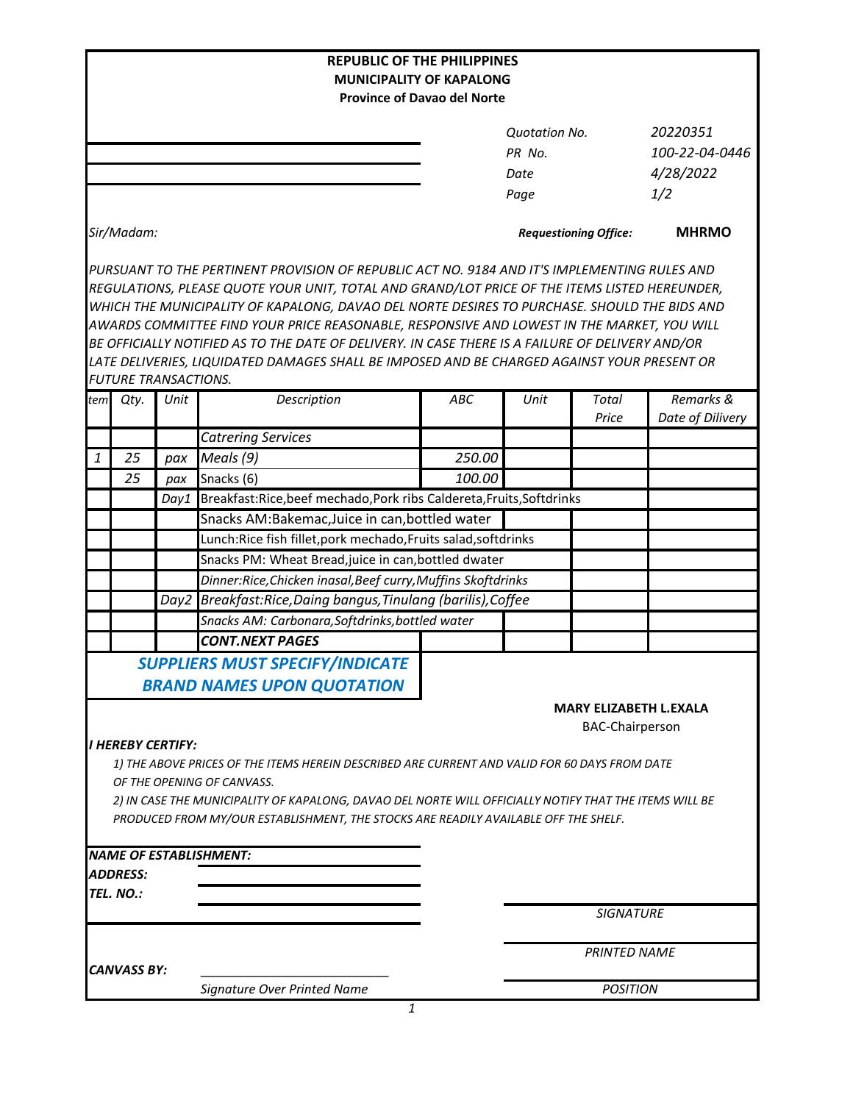|                                                                       |                             |            | <b>REPUBLIC OF THE PHILIPPINES</b>                                                                                                                                                         |                              |                      |                               |                  |  |  |  |  |
|-----------------------------------------------------------------------|-----------------------------|------------|--------------------------------------------------------------------------------------------------------------------------------------------------------------------------------------------|------------------------------|----------------------|-------------------------------|------------------|--|--|--|--|
| <b>MUNICIPALITY OF KAPALONG</b><br><b>Province of Davao del Norte</b> |                             |            |                                                                                                                                                                                            |                              |                      |                               |                  |  |  |  |  |
|                                                                       |                             |            |                                                                                                                                                                                            |                              |                      |                               |                  |  |  |  |  |
|                                                                       |                             |            |                                                                                                                                                                                            |                              | <b>Quotation No.</b> |                               | 20220351         |  |  |  |  |
|                                                                       |                             |            |                                                                                                                                                                                            | PR No.                       |                      |                               | 100-22-04-0446   |  |  |  |  |
|                                                                       |                             |            |                                                                                                                                                                                            |                              | Date                 |                               | 4/28/2022        |  |  |  |  |
|                                                                       |                             |            |                                                                                                                                                                                            |                              | Page                 |                               | 1/2              |  |  |  |  |
|                                                                       | Sir/Madam:                  |            |                                                                                                                                                                                            | <b>Requestioning Office:</b> |                      |                               | <b>MHRMO</b>     |  |  |  |  |
|                                                                       |                             |            |                                                                                                                                                                                            |                              |                      |                               |                  |  |  |  |  |
|                                                                       |                             |            | PURSUANT TO THE PERTINENT PROVISION OF REPUBLIC ACT NO. 9184 AND IT'S IMPLEMENTING RULES AND                                                                                               |                              |                      |                               |                  |  |  |  |  |
|                                                                       |                             |            | REGULATIONS, PLEASE QUOTE YOUR UNIT, TOTAL AND GRAND/LOT PRICE OF THE ITEMS LISTED HEREUNDER,                                                                                              |                              |                      |                               |                  |  |  |  |  |
|                                                                       |                             |            | WHICH THE MUNICIPALITY OF KAPALONG, DAVAO DEL NORTE DESIRES TO PURCHASE. SHOULD THE BIDS AND<br>AWARDS COMMITTEE FIND YOUR PRICE REASONABLE, RESPONSIVE AND LOWEST IN THE MARKET, YOU WILL |                              |                      |                               |                  |  |  |  |  |
|                                                                       |                             |            | BE OFFICIALLY NOTIFIED AS TO THE DATE OF DELIVERY. IN CASE THERE IS A FAILURE OF DELIVERY AND/OR                                                                                           |                              |                      |                               |                  |  |  |  |  |
|                                                                       |                             |            | LATE DELIVERIES, LIQUIDATED DAMAGES SHALL BE IMPOSED AND BE CHARGED AGAINST YOUR PRESENT OR                                                                                                |                              |                      |                               |                  |  |  |  |  |
|                                                                       | <b>FUTURE TRANSACTIONS.</b> |            |                                                                                                                                                                                            |                              |                      |                               |                  |  |  |  |  |
| tem                                                                   | Qty.                        | Unit       | Description                                                                                                                                                                                | ABC                          | Unit                 | Total                         | Remarks &        |  |  |  |  |
|                                                                       |                             |            |                                                                                                                                                                                            |                              |                      | Price                         | Date of Dilivery |  |  |  |  |
| 1                                                                     | 25                          |            | <b>Catrering Services</b><br>Meals (9)                                                                                                                                                     | 250.00                       |                      |                               |                  |  |  |  |  |
|                                                                       | 25                          | pax<br>pax | Snacks (6)                                                                                                                                                                                 | 100.00                       |                      |                               |                  |  |  |  |  |
|                                                                       |                             | Day1       | Breakfast:Rice,beef mechado,Pork ribs Caldereta,Fruits,Softdrinks                                                                                                                          |                              |                      |                               |                  |  |  |  |  |
|                                                                       |                             |            | Snacks AM:Bakemac, Juice in can, bottled water                                                                                                                                             |                              |                      |                               |                  |  |  |  |  |
|                                                                       |                             |            |                                                                                                                                                                                            |                              |                      |                               |                  |  |  |  |  |
|                                                                       |                             |            | Lunch:Rice fish fillet, pork mechado, Fruits salad, softdrinks                                                                                                                             |                              |                      |                               |                  |  |  |  |  |
|                                                                       |                             |            | Snacks PM: Wheat Bread, juice in can, bottled dwater                                                                                                                                       |                              |                      |                               |                  |  |  |  |  |
|                                                                       |                             |            | Dinner:Rice, Chicken inasal, Beef curry, Muffins Skoftdrinks                                                                                                                               |                              |                      |                               |                  |  |  |  |  |
|                                                                       |                             | Day2       | Breakfast:Rice,Daing bangus,Tinulang (barilis),Coffee                                                                                                                                      |                              |                      |                               |                  |  |  |  |  |
|                                                                       |                             |            | Snacks AM: Carbonara, Softdrinks, bottled water<br><b>CONT.NEXT PAGES</b>                                                                                                                  |                              |                      |                               |                  |  |  |  |  |
|                                                                       |                             |            |                                                                                                                                                                                            |                              |                      |                               |                  |  |  |  |  |
|                                                                       |                             |            | <b>SUPPLIERS MUST SPECIFY/INDICATE</b>                                                                                                                                                     |                              |                      |                               |                  |  |  |  |  |
|                                                                       |                             |            | <b>BRAND NAMES UPON QUOTATION</b>                                                                                                                                                          |                              |                      |                               |                  |  |  |  |  |
|                                                                       |                             |            |                                                                                                                                                                                            |                              |                      | <b>MARY ELIZABETH L.EXALA</b> |                  |  |  |  |  |
|                                                                       |                             |            |                                                                                                                                                                                            |                              |                      | <b>BAC-Chairperson</b>        |                  |  |  |  |  |
|                                                                       | <b>I HEREBY CERTIFY:</b>    |            |                                                                                                                                                                                            |                              |                      |                               |                  |  |  |  |  |
|                                                                       |                             |            | 1) THE ABOVE PRICES OF THE ITEMS HEREIN DESCRIBED ARE CURRENT AND VALID FOR 60 DAYS FROM DATE<br>OF THE OPENING OF CANVASS.                                                                |                              |                      |                               |                  |  |  |  |  |
|                                                                       |                             |            | 2) IN CASE THE MUNICIPALITY OF KAPALONG, DAVAO DEL NORTE WILL OFFICIALLY NOTIFY THAT THE ITEMS WILL BE                                                                                     |                              |                      |                               |                  |  |  |  |  |
|                                                                       |                             |            | PRODUCED FROM MY/OUR ESTABLISHMENT, THE STOCKS ARE READILY AVAILABLE OFF THE SHELF.                                                                                                        |                              |                      |                               |                  |  |  |  |  |
|                                                                       |                             |            |                                                                                                                                                                                            |                              |                      |                               |                  |  |  |  |  |
|                                                                       |                             |            | NAME OF ESTABLISHMENT:                                                                                                                                                                     |                              |                      |                               |                  |  |  |  |  |
|                                                                       | <b>ADDRESS:</b>             |            |                                                                                                                                                                                            |                              |                      |                               |                  |  |  |  |  |
|                                                                       | TEL. NO.:                   |            |                                                                                                                                                                                            |                              |                      |                               |                  |  |  |  |  |
|                                                                       |                             |            |                                                                                                                                                                                            |                              |                      | <b>SIGNATURE</b>              |                  |  |  |  |  |
|                                                                       |                             |            |                                                                                                                                                                                            |                              | <b>PRINTED NAME</b>  |                               |                  |  |  |  |  |
|                                                                       | <b>CANVASS BY:</b>          |            |                                                                                                                                                                                            |                              |                      |                               |                  |  |  |  |  |
|                                                                       |                             |            | Signature Over Printed Name                                                                                                                                                                |                              | <b>POSITION</b>      |                               |                  |  |  |  |  |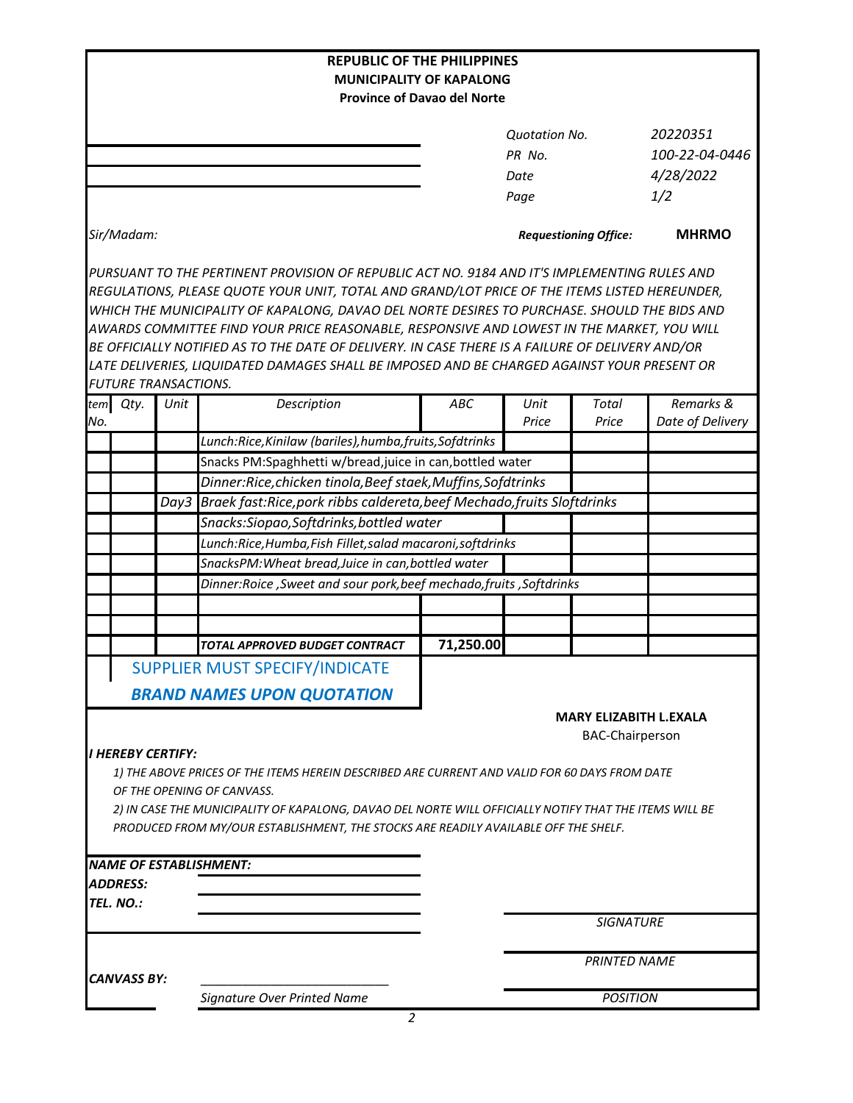| <b>REPUBLIC OF THE PHILIPPINES</b> |  |      |                                                                                                        |                                    |                                                         |                  |                               |  |  |  |
|------------------------------------|--|------|--------------------------------------------------------------------------------------------------------|------------------------------------|---------------------------------------------------------|------------------|-------------------------------|--|--|--|
| <b>MUNICIPALITY OF KAPALONG</b>    |  |      |                                                                                                        |                                    |                                                         |                  |                               |  |  |  |
|                                    |  |      |                                                                                                        | <b>Province of Davao del Norte</b> |                                                         |                  |                               |  |  |  |
|                                    |  |      |                                                                                                        |                                    | <b>Quotation No.</b>                                    |                  | 20220351                      |  |  |  |
|                                    |  |      |                                                                                                        |                                    | PR No.                                                  |                  | 100-22-04-0446                |  |  |  |
|                                    |  |      |                                                                                                        |                                    | Date                                                    |                  | 4/28/2022                     |  |  |  |
|                                    |  |      |                                                                                                        |                                    | Page                                                    |                  | 1/2                           |  |  |  |
|                                    |  |      |                                                                                                        |                                    |                                                         |                  |                               |  |  |  |
| Sir/Madam:                         |  |      |                                                                                                        |                                    | <b>Requestioning Office:</b>                            |                  | <b>MHRMO</b>                  |  |  |  |
|                                    |  |      | PURSUANT TO THE PERTINENT PROVISION OF REPUBLIC ACT NO. 9184 AND IT'S IMPLEMENTING RULES AND           |                                    |                                                         |                  |                               |  |  |  |
|                                    |  |      | REGULATIONS, PLEASE QUOTE YOUR UNIT, TOTAL AND GRAND/LOT PRICE OF THE ITEMS LISTED HEREUNDER,          |                                    |                                                         |                  |                               |  |  |  |
|                                    |  |      | WHICH THE MUNICIPALITY OF KAPALONG, DAVAO DEL NORTE DESIRES TO PURCHASE. SHOULD THE BIDS AND           |                                    |                                                         |                  |                               |  |  |  |
|                                    |  |      | AWARDS COMMITTEE FIND YOUR PRICE REASONABLE, RESPONSIVE AND LOWEST IN THE MARKET, YOU WILL             |                                    |                                                         |                  |                               |  |  |  |
|                                    |  |      | BE OFFICIALLY NOTIFIED AS TO THE DATE OF DELIVERY. IN CASE THERE IS A FAILURE OF DELIVERY AND/OR       |                                    |                                                         |                  |                               |  |  |  |
|                                    |  |      | LATE DELIVERIES, LIQUIDATED DAMAGES SHALL BE IMPOSED AND BE CHARGED AGAINST YOUR PRESENT OR            |                                    |                                                         |                  |                               |  |  |  |
| <b>FUTURE TRANSACTIONS.</b>        |  |      |                                                                                                        |                                    |                                                         |                  |                               |  |  |  |
| tem Qty.<br>No.                    |  | Unit | Description                                                                                            | ABC                                | Unit<br>Price                                           | Total<br>Price   | Remarks &<br>Date of Delivery |  |  |  |
|                                    |  |      | Lunch:Rice, Kinilaw (bariles), humba, fruits, Sofdtrinks                                               |                                    |                                                         |                  |                               |  |  |  |
|                                    |  |      | Snacks PM:Spaghhetti w/bread, juice in can, bottled water                                              |                                    |                                                         |                  |                               |  |  |  |
|                                    |  |      | Dinner:Rice, chicken tinola, Beef staek, Muffins, Sofdtrinks                                           |                                    |                                                         |                  |                               |  |  |  |
|                                    |  |      | Day3 Braek fast:Rice, pork ribbs caldereta, beef Mechado, fruits Sloftdrinks                           |                                    |                                                         |                  |                               |  |  |  |
|                                    |  |      | Snacks:Siopao,Softdrinks,bottled water                                                                 |                                    |                                                         |                  |                               |  |  |  |
|                                    |  |      | Lunch:Rice, Humba, Fish Fillet, salad macaroni, softdrinks                                             |                                    |                                                         |                  |                               |  |  |  |
|                                    |  |      | SnacksPM: Wheat bread, Juice in can, bottled water                                                     |                                    |                                                         |                  |                               |  |  |  |
|                                    |  |      | Dinner:Roice, Sweet and sour pork, beef mechado, fruits, Softdrinks                                    |                                    |                                                         |                  |                               |  |  |  |
|                                    |  |      |                                                                                                        |                                    |                                                         |                  |                               |  |  |  |
|                                    |  |      |                                                                                                        |                                    |                                                         |                  |                               |  |  |  |
|                                    |  |      | TOTAL APPROVED BUDGET CONTRACT                                                                         | 71,250.00                          |                                                         |                  |                               |  |  |  |
|                                    |  |      | SUPPLIER MUST SPECIFY/INDICATE                                                                         |                                    |                                                         |                  |                               |  |  |  |
|                                    |  |      | <b>BRAND NAMES UPON QUOTATION</b>                                                                      |                                    |                                                         |                  |                               |  |  |  |
|                                    |  |      |                                                                                                        |                                    |                                                         |                  |                               |  |  |  |
|                                    |  |      |                                                                                                        |                                    | <b>MARY ELIZABITH L.EXALA</b><br><b>BAC-Chairperson</b> |                  |                               |  |  |  |
| <b>I HEREBY CERTIFY:</b>           |  |      |                                                                                                        |                                    |                                                         |                  |                               |  |  |  |
|                                    |  |      | 1) THE ABOVE PRICES OF THE ITEMS HEREIN DESCRIBED ARE CURRENT AND VALID FOR 60 DAYS FROM DATE          |                                    |                                                         |                  |                               |  |  |  |
|                                    |  |      | OF THE OPENING OF CANVASS.                                                                             |                                    |                                                         |                  |                               |  |  |  |
|                                    |  |      | 2) IN CASE THE MUNICIPALITY OF KAPALONG, DAVAO DEL NORTE WILL OFFICIALLY NOTIFY THAT THE ITEMS WILL BE |                                    |                                                         |                  |                               |  |  |  |
|                                    |  |      | PRODUCED FROM MY/OUR ESTABLISHMENT, THE STOCKS ARE READILY AVAILABLE OFF THE SHELF.                    |                                    |                                                         |                  |                               |  |  |  |
|                                    |  |      |                                                                                                        |                                    |                                                         |                  |                               |  |  |  |
|                                    |  |      | <b>NAME OF ESTABLISHMENT:</b>                                                                          |                                    |                                                         |                  |                               |  |  |  |
| <b>ADDRESS:</b>                    |  |      |                                                                                                        |                                    |                                                         |                  |                               |  |  |  |
| TEL. NO.:                          |  |      |                                                                                                        |                                    |                                                         |                  |                               |  |  |  |
|                                    |  |      |                                                                                                        |                                    |                                                         | <b>SIGNATURE</b> |                               |  |  |  |
|                                    |  |      |                                                                                                        |                                    | <b>PRINTED NAME</b>                                     |                  |                               |  |  |  |
| <b>CANVASS BY:</b>                 |  |      |                                                                                                        |                                    |                                                         |                  |                               |  |  |  |
|                                    |  |      | Signature Over Printed Name                                                                            |                                    |                                                         | <b>POSITION</b>  |                               |  |  |  |
|                                    |  |      |                                                                                                        |                                    |                                                         |                  |                               |  |  |  |